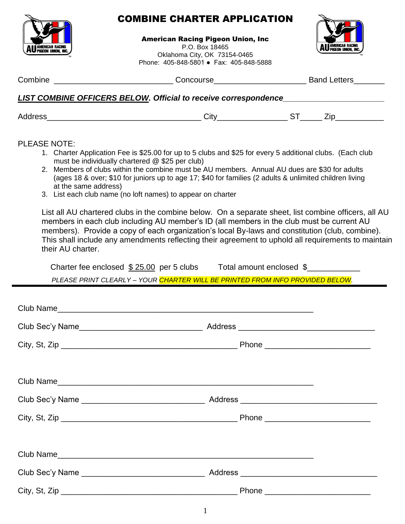

## COMBINE CHARTER APPLICATION

American Racing Pigeon Union, Inc

AMERICAN KACIN<br>PIGEON UNION. IN

P.O. Box 18465 Oklahoma City, OK 73154-0465 Phone: 405-848-5801 ● Fax: 405-848-5888

|                     | Combine _________________________________Concourse______________________________Band Letters________                                                                                                                                                                                                                                                                                                                                                                                                                                                                                                                                                                                                                                                                                                                                                                                                                                                                                                                                                      |  |  |
|---------------------|-----------------------------------------------------------------------------------------------------------------------------------------------------------------------------------------------------------------------------------------------------------------------------------------------------------------------------------------------------------------------------------------------------------------------------------------------------------------------------------------------------------------------------------------------------------------------------------------------------------------------------------------------------------------------------------------------------------------------------------------------------------------------------------------------------------------------------------------------------------------------------------------------------------------------------------------------------------------------------------------------------------------------------------------------------------|--|--|
|                     | LIST COMBINE OFFICERS BELOW. Official to receive correspondence_________________                                                                                                                                                                                                                                                                                                                                                                                                                                                                                                                                                                                                                                                                                                                                                                                                                                                                                                                                                                          |  |  |
|                     |                                                                                                                                                                                                                                                                                                                                                                                                                                                                                                                                                                                                                                                                                                                                                                                                                                                                                                                                                                                                                                                           |  |  |
| <b>PLEASE NOTE:</b> | 1. Charter Application Fee is \$25.00 for up to 5 clubs and \$25 for every 5 additional clubs. (Each club<br>must be individually chartered @ \$25 per club)<br>2. Members of clubs within the combine must be AU members. Annual AU dues are \$30 for adults<br>(ages 18 & over; \$10 for juniors up to age 17; \$40 for families (2 adults & unlimited children living<br>at the same address)<br>3. List each club name (no loft names) to appear on charter<br>List all AU chartered clubs in the combine below. On a separate sheet, list combine officers, all AU<br>members in each club including AU member's ID (all members in the club must be current AU<br>members). Provide a copy of each organization's local By-laws and constitution (club, combine).<br>This shall include any amendments reflecting their agreement to uphold all requirements to maintain<br>their AU charter.<br>Charter fee enclosed \$25.00 per 5 clubs Total amount enclosed \$<br>PLEASE PRINT CLEARLY - YOUR CHARTER WILL BE PRINTED FROM INFO PROVIDED BELOW. |  |  |
|                     |                                                                                                                                                                                                                                                                                                                                                                                                                                                                                                                                                                                                                                                                                                                                                                                                                                                                                                                                                                                                                                                           |  |  |
|                     |                                                                                                                                                                                                                                                                                                                                                                                                                                                                                                                                                                                                                                                                                                                                                                                                                                                                                                                                                                                                                                                           |  |  |
|                     |                                                                                                                                                                                                                                                                                                                                                                                                                                                                                                                                                                                                                                                                                                                                                                                                                                                                                                                                                                                                                                                           |  |  |
|                     |                                                                                                                                                                                                                                                                                                                                                                                                                                                                                                                                                                                                                                                                                                                                                                                                                                                                                                                                                                                                                                                           |  |  |
|                     |                                                                                                                                                                                                                                                                                                                                                                                                                                                                                                                                                                                                                                                                                                                                                                                                                                                                                                                                                                                                                                                           |  |  |

| <b>Club Name</b> |                |  |
|------------------|----------------|--|
| Club Sec'y Name  | <b>Address</b> |  |
| City, St, Zip    | Phone          |  |

City, St, Zip \_\_\_\_\_\_\_\_\_\_\_\_\_\_\_\_\_\_\_\_\_\_\_\_\_\_\_\_\_\_\_\_\_\_\_\_\_\_\_\_ Phone \_\_\_\_\_\_\_\_\_\_\_\_\_\_\_\_\_\_\_\_\_\_\_\_